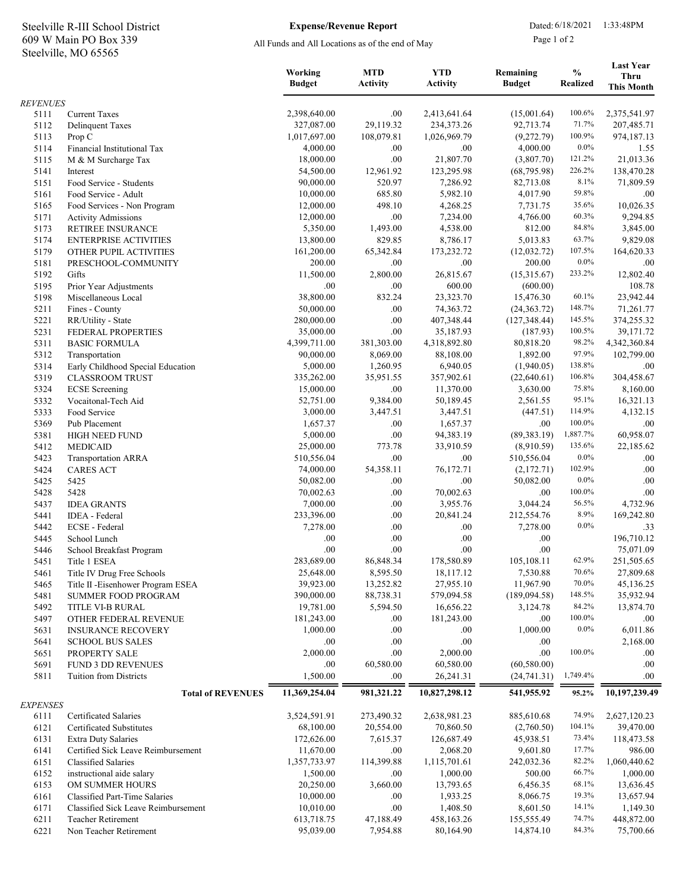## Steelville, MO 65565 609 W Main PO Box 339 Steelville R-III School District Expense/Revenue Report Dated: 6/18/2021 1:33:48PM

## Expense/Revenue Report

All Funds and All Locations as of the end of May

Page 1 of 2

|                 |                                                  | Working<br><b>Budget</b> | <b>MTD</b><br><b>Activity</b> | <b>YTD</b><br><b>Activity</b> | Remaining<br><b>Budget</b> | $\frac{0}{0}$<br><b>Realized</b> | <b>Last Year</b><br><b>Thru</b><br><b>This Month</b> |
|-----------------|--------------------------------------------------|--------------------------|-------------------------------|-------------------------------|----------------------------|----------------------------------|------------------------------------------------------|
| <b>REVENUES</b> |                                                  |                          |                               |                               |                            |                                  |                                                      |
| 5111            | <b>Current Taxes</b>                             | 2,398,640.00             | .00.                          | 2,413,641.64                  | (15,001.64)                | 100.6%                           | 2,375,541.97                                         |
| 5112            | <b>Delinquent Taxes</b>                          | 327,087.00               | 29,119.32                     | 234,373.26                    | 92,713.74                  | 71.7%                            | 207,485.71                                           |
| 5113            | Prop C                                           | 1,017,697.00             | 108,079.81                    | 1,026,969.79                  | (9,272.79)                 | 100.9%                           | 974,187.13                                           |
| 5114            | Financial Institutional Tax                      | 4,000.00                 | .00                           | .00                           | 4,000.00                   | $0.0\%$                          | 1.55                                                 |
| 5115            | M & M Surcharge Tax                              | 18,000.00<br>54,500.00   | .00<br>12,961.92              | 21,807.70                     | (3,807.70)<br>(68, 795.98) | 121.2%<br>226.2%                 | 21,013.36                                            |
| 5141<br>5151    | Interest<br>Food Service - Students              | 90,000.00                | 520.97                        | 123,295.98<br>7,286.92        | 82,713.08                  | $8.1\%$                          | 138,470.28<br>71,809.59                              |
| 5161            | Food Service - Adult                             | 10,000.00                | 685.80                        | 5,982.10                      | 4,017.90                   | 59.8%                            | .00.                                                 |
| 5165            | Food Services - Non Program                      | 12,000.00                | 498.10                        | 4,268.25                      | 7,731.75                   | 35.6%                            | 10,026.35                                            |
| 5171            | <b>Activity Admissions</b>                       | 12,000.00                | .00                           | 7,234.00                      | 4,766.00                   | 60.3%                            | 9,294.85                                             |
| 5173            | RETIREE INSURANCE                                | 5,350.00                 | 1,493.00                      | 4,538.00                      | 812.00                     | 84.8%                            | 3,845.00                                             |
| 5174            | <b>ENTERPRISE ACTIVITIES</b>                     | 13,800.00                | 829.85                        | 8,786.17                      | 5,013.83                   | 63.7%                            | 9,829.08                                             |
| 5179            | OTHER PUPIL ACTIVITIES                           | 161,200.00               | 65,342.84                     | 173,232.72                    | (12,032.72)                | 107.5%                           | 164,620.33                                           |
| 5181            | PRESCHOOL-COMMUNITY                              | 200.00                   | .00                           | .00                           | 200.00                     | $0.0\%$                          | .00.                                                 |
| 5192            | Gifts                                            | 11,500.00                | 2,800.00                      | 26,815.67                     | (15,315.67)                | 233.2%                           | 12,802.40                                            |
| 5195<br>5198    | Prior Year Adjustments<br>Miscellaneous Local    | .00<br>38,800.00         | .00<br>832.24                 | 600.00<br>23,323.70           | (600.00)<br>15,476.30      | 60.1%                            | 108.78<br>23,942.44                                  |
| 5211            | Fines - County                                   | 50,000.00                | .00                           | 74,363.72                     | (24, 363.72)               | 148.7%                           | 71,261.77                                            |
| 5221            | RR/Utility - State                               | 280,000.00               | .00                           | 407,348.44                    | (127, 348.44)              | 145.5%                           | 374,255.32                                           |
| 5231            | FEDERAL PROPERTIES                               | 35,000.00                | .00                           | 35,187.93                     | (187.93)                   | 100.5%                           | 39,171.72                                            |
| 5311            | <b>BASIC FORMULA</b>                             | 4,399,711.00             | 381,303.00                    | 4,318,892.80                  | 80,818.20                  | 98.2%                            | 4,342,360.84                                         |
| 5312            | Transportation                                   | 90,000.00                | 8,069.00                      | 88,108.00                     | 1,892.00                   | 97.9%                            | 102,799.00                                           |
| 5314            | Early Childhood Special Education                | 5,000.00                 | 1,260.95                      | 6,940.05                      | (1,940.05)                 | 138.8%                           | .00.                                                 |
| 5319            | <b>CLASSROOM TRUST</b>                           | 335,262.00               | 35,951.55                     | 357,902.61                    | (22,640.61)                | 106.8%                           | 304,458.67                                           |
| 5324            | <b>ECSE</b> Screening                            | 15,000.00                | .00                           | 11,370.00                     | 3,630.00                   | 75.8%                            | 8,160.00                                             |
| 5332            | Vocaitonal-Tech Aid                              | 52,751.00                | 9,384.00                      | 50,189.45                     | 2,561.55                   | 95.1%                            | 16,321.13                                            |
| 5333            | Food Service                                     | 3,000.00                 | 3,447.51                      | 3,447.51                      | (447.51)                   | 114.9%                           | 4,132.15                                             |
| 5369            | Pub Placement                                    | 1,657.37<br>5,000.00     | .00<br>.00                    | 1,657.37<br>94,383.19         | .00.<br>(89, 383.19)       | 100.0%<br>1,887.7%               | .00.<br>60,958.07                                    |
| 5381<br>5412    | <b>HIGH NEED FUND</b><br><b>MEDICAID</b>         | 25,000.00                | 773.78                        | 33,910.59                     | (8,910.59)                 | 135.6%                           | 22,185.62                                            |
| 5423            | <b>Transportation ARRA</b>                       | 510,556.04               | .00                           | .00                           | 510,556.04                 | $0.0\%$                          | .00.                                                 |
| 5424            | <b>CARES ACT</b>                                 | 74,000.00                | 54,358.11                     | 76,172.71                     | (2,172.71)                 | 102.9%                           | $.00\,$                                              |
| 5425            | 5425                                             | 50,082.00                | .00                           | .00                           | 50,082.00                  | $0.0\%$                          | .00.                                                 |
| 5428            | 5428                                             | 70,002.63                | .00                           | 70,002.63                     | .00.                       | 100.0%                           | .00                                                  |
| 5437            | <b>IDEA GRANTS</b>                               | 7,000.00                 | .00                           | 3,955.76                      | 3,044.24                   | 56.5%                            | 4,732.96                                             |
| 5441            | IDEA - Federal                                   | 233,396.00               | .00                           | 20,841.24                     | 212,554.76                 | 8.9%                             | 169,242.80                                           |
| 5442            | ECSE - Federal                                   | 7,278.00                 | .00                           | .00                           | 7,278.00                   | $0.0\%$                          | .33                                                  |
| 5445            | School Lunch                                     | .00                      | .00                           | .00                           | .00                        |                                  | 196,710.12                                           |
| 5446            | School Breakfast Program                         | .00                      | .00                           | .00                           | .00                        | 62.9%                            | 75,071.09                                            |
| 5451<br>5461    | Title 1 ESEA<br>Title IV Drug Free Schools       | 283,689.00<br>25,648.00  | 86,848.34<br>8,595.50         | 178,580.89<br>18,117.12       | 105,108.11<br>7,530.88     | 70.6%                            | 251,505.65<br>27,809.68                              |
| 5465            | Title II - Eisenhower Program ESEA               | 39,923.00                | 13,252.82                     | 27,955.10                     | 11,967.90                  | 70.0%                            | 45,136.25                                            |
| 5481            | <b>SUMMER FOOD PROGRAM</b>                       | 390,000.00               | 88,738.31                     | 579,094.58                    | (189,094.58)               | 148.5%                           | 35,932.94                                            |
| 5492            | TITLE VI-B RURAL                                 | 19,781.00                | 5,594.50                      | 16,656.22                     | 3,124.78                   | 84.2%                            | 13,874.70                                            |
| 5497            | OTHER FEDERAL REVENUE                            | 181,243.00               | .00                           | 181,243.00                    | .00.                       | 100.0%                           | .00.                                                 |
| 5631            | <b>INSURANCE RECOVERY</b>                        | 1,000.00                 | .00                           | .00                           | 1,000.00                   | $0.0\%$                          | 6,011.86                                             |
| 5641            | <b>SCHOOL BUS SALES</b>                          | .00                      | .00                           | .00                           | .00                        |                                  | 2,168.00                                             |
| 5651            | PROPERTY SALE                                    | 2,000.00                 | .00                           | 2,000.00                      | .00.                       | 100.0%                           | .00.                                                 |
| 5691            | <b>FUND 3 DD REVENUES</b>                        | .00.                     | 60,580.00                     | 60,580.00                     | (60, 580.00)               |                                  | .00.                                                 |
| 5811            | Tuition from Districts                           | 1,500.00                 | .00                           | 26,241.31                     | (24, 741.31)               | 1,749.4%                         | .00.                                                 |
| <b>EXPENSES</b> | <b>Total of REVENUES</b>                         | 11,369,254.04            | 981,321.22                    | 10,827,298.12                 | 541,955.92                 | 95.2%                            | 10,197,239.49                                        |
| 6111            | Certificated Salaries                            | 3,524,591.91             | 273,490.32                    | 2,638,981.23                  | 885,610.68                 | 74.9%                            | 2,627,120.23                                         |
| 6121            | Certificated Substitutes                         | 68,100.00                | 20,554.00                     | 70,860.50                     | (2,760.50)                 | 104.1%                           | 39,470.00                                            |
| 6131            | <b>Extra Duty Salaries</b>                       | 172,626.00               | 7,615.37                      | 126,687.49                    | 45,938.51                  | 73.4%                            | 118,473.58                                           |
| 6141            | Certified Sick Leave Reimbursement               | 11,670.00                | .00                           | 2,068.20                      | 9,601.80                   | 17.7%                            | 986.00                                               |
| 6151            | <b>Classified Salaries</b>                       | 1,357,733.97             | 114,399.88                    | 1,115,701.61                  | 242,032.36                 | 82.2%                            | 1,060,440.62                                         |
| 6152            | instructional aide salary                        | 1,500.00                 | .00                           | 1,000.00                      | 500.00                     | 66.7%<br>68.1%                   | 1,000.00                                             |
| 6153<br>6161    | OM SUMMER HOURS<br>Classified Part-Time Salaries | 20,250.00<br>10,000.00   | 3,660.00<br>.00               | 13,793.65<br>1,933.25         | 6,456.35<br>8,066.75       | 19.3%                            | 13,636.45<br>13,657.94                               |
| 6171            | Classified Sick Leave Reimbursement              | 10,010.00                | .00                           | 1,408.50                      | 8,601.50                   | 14.1%                            | 1,149.30                                             |
| 6211            | <b>Teacher Retirement</b>                        | 613,718.75               | 47,188.49                     | 458,163.26                    | 155,555.49                 | 74.7%                            | 448,872.00                                           |
| 6221            | Non Teacher Retirement                           | 95,039.00                | 7,954.88                      | 80,164.90                     | 14,874.10                  | 84.3%                            | 75,700.66                                            |